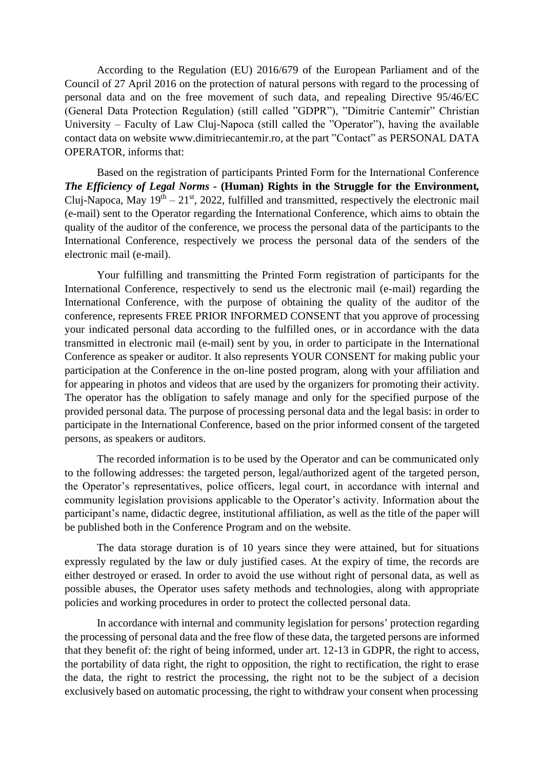According to the Regulation (EU) 2016/679 of the European Parliament and of the Council of 27 April 2016 on the protection of natural persons with regard to the processing of personal data and on the free movement of such data, and repealing Directive 95/46/EC (General Data Protection Regulation) (still called "GDPR"), "Dimitrie Cantemir" Christian University – Faculty of Law Cluj-Napoca (still called the "Operator"), having the available contact data on website [www.dimitriecantemir.ro,](http://www.dimitriecantemir.ro/) at the part "Contact" as PERSONAL DATA OPERATOR, informs that:

Based on the registration of participants Printed Form for the International Conference *The Efficiency of Legal Norms -* **(Human) Rights in the Struggle for the Environment***,*  Cluj-Napoca, May  $19<sup>th</sup> - 21<sup>st</sup>$ , 2022, fulfilled and transmitted, respectively the electronic mail (e-mail) sent to the Operator regarding the International Conference, which aims to obtain the quality of the auditor of the conference, we process the personal data of the participants to the International Conference, respectively we process the personal data of the senders of the electronic mail (e-mail).

Your fulfilling and transmitting the Printed Form registration of participants for the International Conference, respectively to send us the electronic mail (e-mail) regarding the International Conference, with the purpose of obtaining the quality of the auditor of the conference, represents FREE PRIOR INFORMED CONSENT that you approve of processing your indicated personal data according to the fulfilled ones, or in accordance with the data transmitted in electronic mail (e-mail) sent by you, in order to participate in the International Conference as speaker or auditor. It also represents YOUR CONSENT for making public your participation at the Conference in the on-line posted program, along with your affiliation and for appearing in photos and videos that are used by the organizers for promoting their activity. The operator has the obligation to safely manage and only for the specified purpose of the provided personal data. The purpose of processing personal data and the legal basis: in order to participate in the International Conference, based on the prior informed consent of the targeted persons, as speakers or auditors.

The recorded information is to be used by the Operator and can be communicated only to the following addresses: the targeted person, legal/authorized agent of the targeted person, the Operator's representatives, police officers, legal court, in accordance with internal and community legislation provisions applicable to the Operator's activity. Information about the participant's name, didactic degree, institutional affiliation, as well as the title of the paper will be published both in the Conference Program and on the website.

The data storage duration is of 10 years since they were attained, but for situations expressly regulated by the law or duly justified cases. At the expiry of time, the records are either destroyed or erased. In order to avoid the use without right of personal data, as well as possible abuses, the Operator uses safety methods and technologies, along with appropriate policies and working procedures in order to protect the collected personal data.

In accordance with internal and community legislation for persons' protection regarding the processing of personal data and the free flow of these data, the targeted persons are informed that they benefit of: the right of being informed, under art. 12-13 in GDPR, the right to access, the portability of data right, the right to opposition, the right to rectification, the right to erase the data, the right to restrict the processing, the right not to be the subject of a decision exclusively based on automatic processing, the right to withdraw your consent when processing